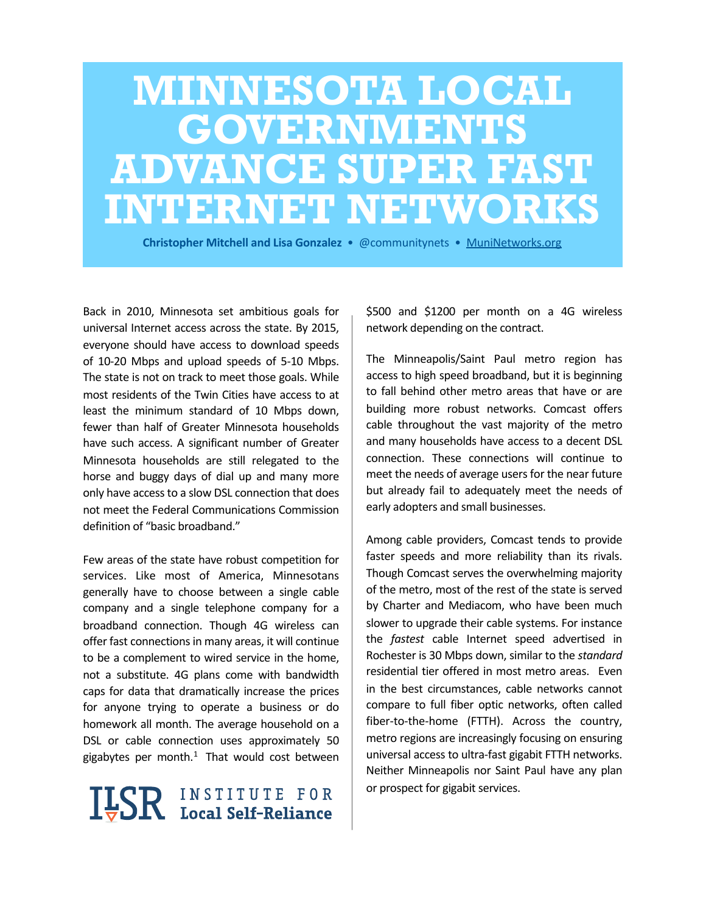# **MINNESOTA LOCAL GOVERNMENTS ADVANCE SUPER FAST INTERNET NETWORKS**

**Christopher Mitchell and Lisa Gonzalez •** @communitynets • MuniNetworks.org

Back in 2010, Minnesota set ambitious goals for universal Internet access across the state. By 2015, everyone should have access to download speeds of 10-20 Mbps and upload speeds of 5-10 Mbps. The state is not on track to meet those goals. While most residents of the Twin Cities have access to at least the minimum standard of 10 Mbps down, fewer than half of Greater Minnesota households have such access. A significant number of Greater Minnesota households are still relegated to the horse and buggy days of dial up and many more only have access to a slow DSL connection that does not meet the Federal Communications Commission definition of "basic broadband."

Few areas of the state have robust competition for services. Like most of America, Minnesotans generally have to choose between a single cable company and a single telephone company for a broadband connection. Though 4G wireless can offer fast connections in many areas, it will continue to be a complement to wired service in the home, not a substitute. 4G plans come with bandwidth caps for data that dramatically increase the prices for anyone trying to operate a business or do homework all month. The average household on a DSL or cable connection uses approximately 50 gigabytes per month.<sup>[1](#page-13-0)</sup> That would cost between

# **ILSR** INSTITUTE FOR

\$500 and \$1200 per month on a 4G wireless network depending on the contract.

The Minneapolis/Saint Paul metro region has access to high speed broadband, but it is beginning to fall behind other metro areas that have or are building more robust networks. Comcast offers cable throughout the vast majority of the metro and many households have access to a decent DSL connection. These connections will continue to meet the needs of average users for the near future but already fail to adequately meet the needs of early adopters and small businesses.

Among cable providers, Comcast tends to provide faster speeds and more reliability than its rivals. Though Comcast serves the overwhelming majority of the metro, most of the rest of the state is served by Charter and Mediacom, who have been much slower to upgrade their cable systems. For instance the *fastest* cable Internet speed advertised in Rochester is 30 Mbps down, similar to the *standard* residential tier offered in most metro areas. Even in the best circumstances, cable networks cannot compare to full fiber optic networks, often called fiber-to-the-home (FTTH). Across the country, metro regions are increasingly focusing on ensuring universal access to ultra-fast gigabit FTTH networks. Neither Minneapolis nor Saint Paul have any plan or prospect for gigabit services.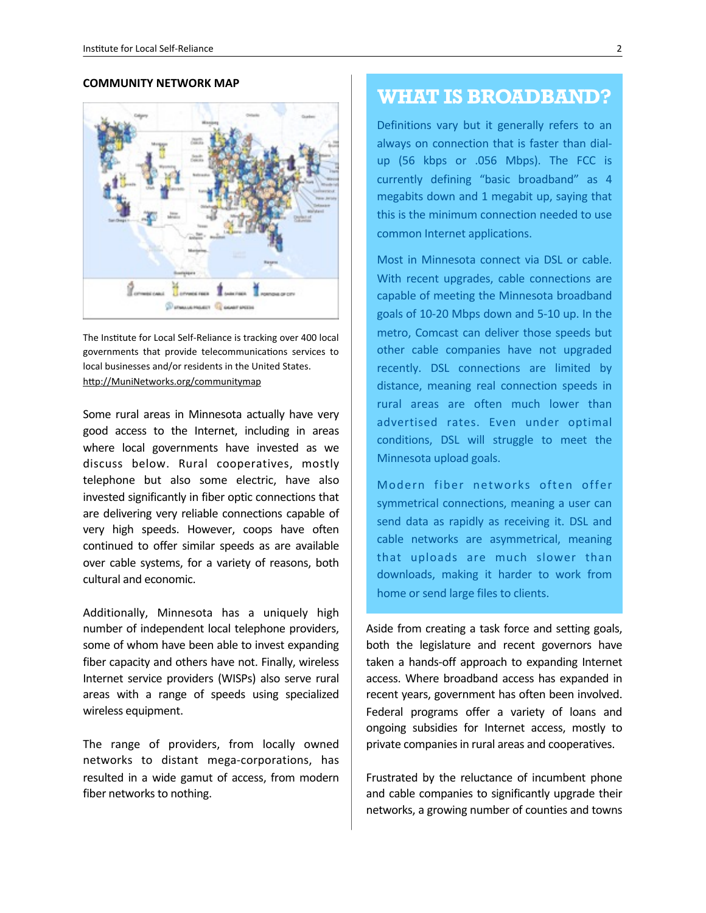#### **COMMUNITY NETWORK MAP**



The Institute for Local Self-Reliance is tracking over 400 local governments that provide telecommunications services to local businesses and/or residents in the United States. http://MuniNetworks.org/communitymap

Some rural areas in Minnesota actually have very good access to the Internet, including in areas where local governments have invested as we discuss below. Rural cooperatives, mostly telephone but also some electric, have also invested significantly in fiber optic connections that are delivering very reliable connections capable of very high speeds. However, coops have often continued to offer similar speeds as are available over cable systems, for a variety of reasons, both cultural and economic.

Additionally, Minnesota has a uniquely high number of independent local telephone providers, some of whom have been able to invest expanding fiber capacity and others have not. Finally, wireless Internet service providers (WISPs) also serve rural areas with a range of speeds using specialized wireless equipment.

The range of providers, from locally owned networks to distant mega-corporations, has resulted in a wide gamut of access, from modern fiber networks to nothing.

#### **WHAT IS BROADBAND?**

Definitions vary but it generally refers to an always on connection that is faster than dialup (56 kbps or .056 Mbps). The FCC is currently defining "basic broadband" as 4 megabits down and 1 megabit up, saying that this is the minimum connection needed to use common Internet applications.

Most in Minnesota connect via DSL or cable. With recent upgrades, cable connections are capable of meeting the Minnesota broadband goals of 10-20 Mbps down and 5-10 up. In the metro, Comcast can deliver those speeds but other cable companies have not upgraded recently. DSL connections are limited by distance, meaning real connection speeds in rural areas are often much lower than advertised rates. Even under optimal conditions, DSL will struggle to meet the Minnesota upload goals.

Modern fiber networks often offer symmetrical connections, meaning a user can send data as rapidly as receiving it. DSL and cable networks are asymmetrical, meaning that uploads are much slower than downloads, making it harder to work from home or send large files to clients.

Aside from creating a task force and setting goals, both the legislature and recent governors have taken a hands-off approach to expanding Internet access. Where broadband access has expanded in recent years, government has often been involved. Federal programs offer a variety of loans and ongoing subsidies for Internet access, mostly to private companies in rural areas and cooperatives.

Frustrated by the reluctance of incumbent phone and cable companies to significantly upgrade their networks, a growing number of counties and towns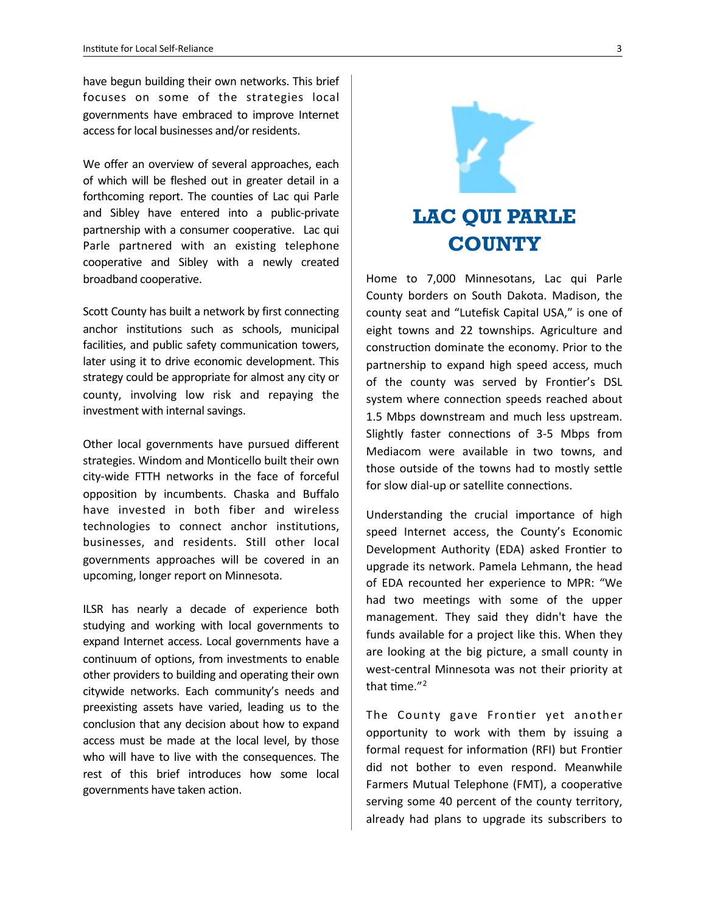have begun building their own networks. This brief focuses on some of the strategies local governments have embraced to improve Internet access for local businesses and/or residents.

We offer an overview of several approaches, each of which will be fleshed out in greater detail in a forthcoming report. The counties of Lac qui Parle and Sibley have entered into a public-private partnership with a consumer cooperative. Lac qui Parle partnered with an existing telephone cooperative and Sibley with a newly created broadband cooperative.

Scott County has built a network by first connecting anchor institutions such as schools, municipal facilities, and public safety communication towers, later using it to drive economic development. This strategy could be appropriate for almost any city or county, involving low risk and repaying the investment with internal savings.

Other local governments have pursued different strategies. Windom and Monticello built their own city-wide FTTH networks in the face of forceful opposition by incumbents. Chaska and Buffalo have invested in both fiber and wireless technologies to connect anchor institutions, businesses, and residents. Still other local governments approaches will be covered in an upcoming, longer report on Minnesota.

ILSR has nearly a decade of experience both studying and working with local governments to expand Internet access. Local governments have a continuum of options, from investments to enable other providers to building and operating their own citywide networks. Each community's needs and preexisting assets have varied, leading us to the conclusion that any decision about how to expand access must be made at the local level, by those who will have to live with the consequences. The rest of this brief introduces how some local governments have taken action.



# **LAC QUI PARLE COUNTY**

Home to 7,000 Minnesotans, Lac qui Parle County borders on South Dakota. Madison, the county seat and "Lutefisk Capital USA," is one of eight towns and 22 townships. Agriculture and construction dominate the economy. Prior to the partnership to expand high speed access, much of the county was served by Frontier's DSL system where connection speeds reached about 1.5 Mbps downstream and much less upstream. Slightly faster connections of 3-5 Mbps from Mediacom were available in two towns, and those outside of the towns had to mostly settle for slow dial-up or satellite connections.

Understanding the crucial importance of high speed Internet access, the County's Economic Development Authority (EDA) asked Frontier to upgrade its network. Pamela Lehmann, the head of EDA recounted her experience to MPR: "We had two meetings with some of the upper management. They said they didn't have the funds available for a project like this. When they are looking at the big picture, a small county in west-central Minnesota was not their priority at that time. $"^2$  $"^2$ 

The County gave Frontier yet another opportunity to work with them by issuing a formal request for information (RFI) but Frontier did not bother to even respond. Meanwhile Farmers Mutual Telephone (FMT), a cooperative serving some 40 percent of the county territory, already had plans to upgrade its subscribers to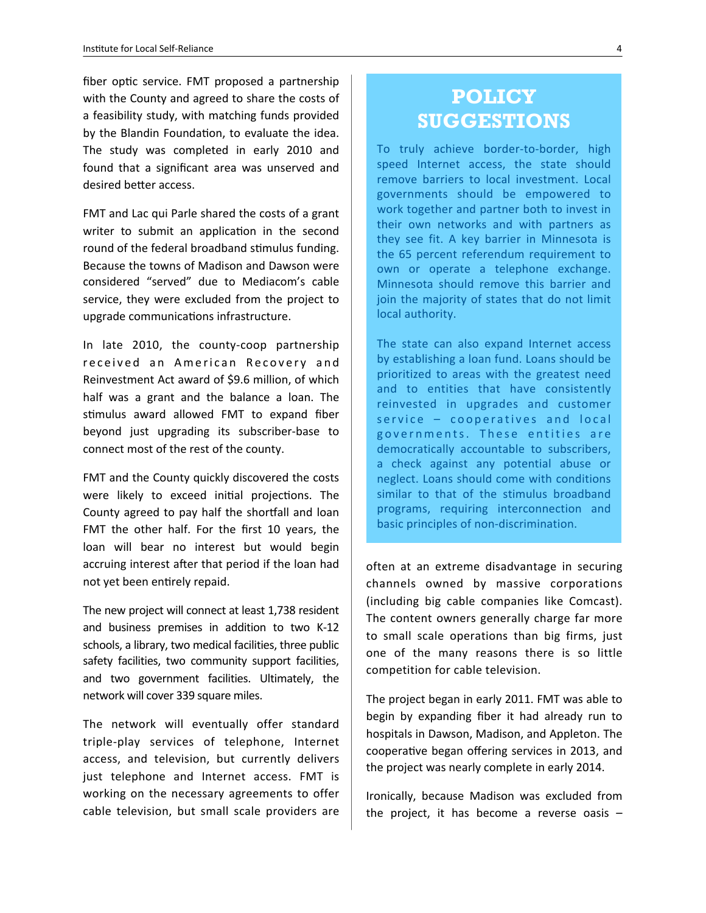fiber optic service. FMT proposed a partnership with the County and agreed to share the costs of a feasibility study, with matching funds provided by the Blandin Foundation, to evaluate the idea. The study was completed in early 2010 and found that a significant area was unserved and desired better access.

FMT and Lac qui Parle shared the costs of a grant writer to submit an application in the second round of the federal broadband stimulus funding. Because the towns of Madison and Dawson were considered "served" due to Mediacom's cable service, they were excluded from the project to upgrade communications infrastructure.

In late 2010, the county-coop partnership received an American Recovery and Reinvestment Act award of \$9.6 million, of which half was a grant and the balance a loan. The stimulus award allowed FMT to expand fiber beyond just upgrading its subscriber-base to connect most of the rest of the county.

FMT and the County quickly discovered the costs were likely to exceed initial projections. The County agreed to pay half the shortfall and loan FMT the other half. For the first 10 years, the loan will bear no interest but would begin accruing interest after that period if the loan had not yet been entirely repaid.

The new project will connect at least 1,738 resident and business premises in addition to two K-12 schools, a library, two medical facilities, three public safety facilities, two community support facilities, and two government facilities. Ultimately, the network will cover 339 square miles.

The network will eventually offer standard triple-play services of telephone, Internet access, and television, but currently delivers just telephone and Internet access. FMT is working on the necessary agreements to offer cable television, but small scale providers are

# **POLICY SUGGESTIONS**

To truly achieve border-to-border, high speed Internet access, the state should remove barriers to local investment. Local governments should be empowered to work together and partner both to invest in their own networks and with partners as they see fit. A key barrier in Minnesota is the 65 percent referendum requirement to own or operate a telephone exchange. Minnesota should remove this barrier and join the majority of states that do not limit local authority.

The state can also expand Internet access by establishing a loan fund. Loans should be prioritized to areas with the greatest need and to entities that have consistently reinvested in upgrades and customer  $s$  ervice  $-$  cooperatives and local governments. These entities are democratically accountable to subscribers, a check against any potential abuse or neglect. Loans should come with conditions similar to that of the stimulus broadband programs, requiring interconnection and basic principles of non-discrimination.

often at an extreme disadvantage in securing channels owned by massive corporations (including big cable companies like Comcast). The content owners generally charge far more to small scale operations than big firms, just one of the many reasons there is so little competition for cable television.

The project began in early 2011. FMT was able to begin by expanding fiber it had already run to hospitals in Dawson, Madison, and Appleton. The cooperative began offering services in 2013, and the project was nearly complete in early 2014.

Ironically, because Madison was excluded from the project, it has become a reverse oasis  $-$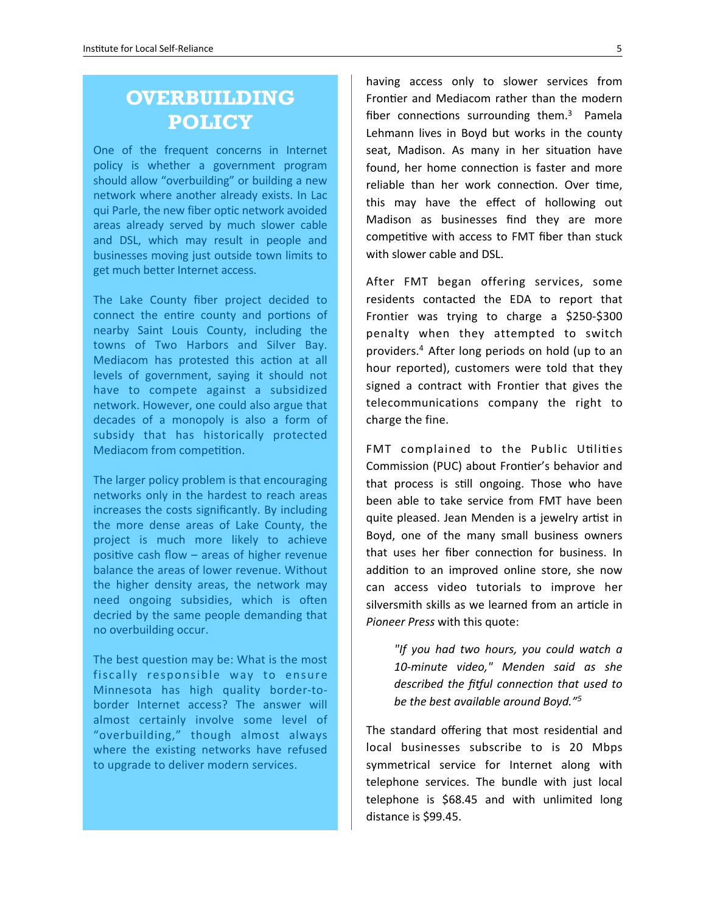### **OVERBUILDING POLICY**

One of the frequent concerns in Internet policy is whether a government program should allow "overbuilding" or building a new network where another already exists. In Lac qui Parle, the new fiber optic network avoided areas already served by much slower cable and DSL, which may result in people and businesses moving just outside town limits to get much better Internet access.

The Lake County fiber project decided to connect the entire county and portions of nearby Saint Louis County, including the towns of Two Harbors and Silver Bay. Mediacom has protested this action at all levels of government, saying it should not have to compete against a subsidized network. However, one could also argue that decades of a monopoly is also a form of subsidy that has historically protected Mediacom from competition.

The larger policy problem is that encouraging networks only in the hardest to reach areas increases the costs significantly. By including the more dense areas of Lake County, the project is much more likely to achieve positive cash flow – areas of higher revenue balance the areas of lower revenue. Without the higher density areas, the network may need ongoing subsidies, which is often decried by the same people demanding that no overbuilding occur.

The best question may be: What is the most fiscally responsible way to ensure Minnesota has high quality border-toborder Internet access? The answer will almost certainly involve some level of "overbuilding," though almost always where the existing networks have refused to upgrade to deliver modern services.

having access only to slower services from Frontier and Mediacom rather than the modern fiber connections surrounding them. $3$  Pamela Lehmann lives in Boyd but works in the county seat, Madison. As many in her situation have found, her home connection is faster and more reliable than her work connection. Over time, this may have the effect of hollowing out Madison as businesses find they are more competitive with access to FMT fiber than stuck with slower cable and DSL.

After FMT began offering services, some residents contacted the EDA to report that Frontier was trying to charge a \$250-\$300 penalty when they attempted to switch providers.<sup>[4](#page-13-2)</sup> After long periods on hold (up to an hour reported), customers were told that they signed a contract with Frontier that gives the telecommunications company the right to charge the fine.

FMT complained to the Public Utilities Commission (PUC) about Frontier's behavior and that process is still ongoing. Those who have been able to take service from FMT have been quite pleased. Jean Menden is a jewelry artist in Boyd, one of the many small business owners that uses her fiber connection for business. In addition to an improved online store, she now can access video tutorials to improve her silversmith skills as we learned from an article in **Pioneer Press with this quote:** 

> *"If you had two hours, you could watch a 10-minute video," Menden said as she*  described the fitful connection that used to *be the best available around Boyd."*<sup>[5](#page-13-3)</sup>

The standard offering that most residential and local businesses subscribe to is 20 Mbps symmetrical service for Internet along with telephone services. The bundle with just local telephone is \$68.45 and with unlimited long distance is \$99.45.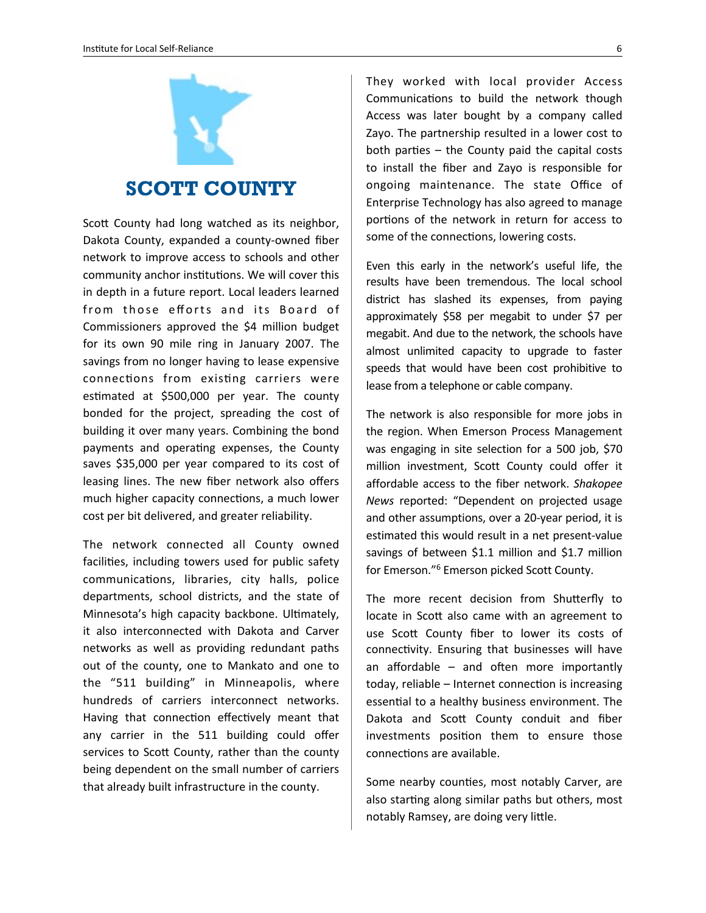

#### **SCOTT COUNTY**

Scott County had long watched as its neighbor, Dakota County, expanded a county-owned fiber network to improve access to schools and other community anchor institutions. We will cover this in depth in a future report. Local leaders learned from those efforts and its Board of Commissioners approved the \$4 million budget for its own 90 mile ring in January 2007. The savings from no longer having to lease expensive connections from existing carriers were estimated at \$500,000 per year. The county bonded for the project, spreading the cost of building it over many years. Combining the bond payments and operating expenses, the County saves \$35,000 per year compared to its cost of leasing lines. The new fiber network also offers much higher capacity connections, a much lower cost per bit delivered, and greater reliability.

The network connected all County owned facilities, including towers used for public safety communications, libraries, city halls, police departments, school districts, and the state of Minnesota's high capacity backbone. Ultimately, it also interconnected with Dakota and Carver networks as well as providing redundant paths out of the county, one to Mankato and one to the "511 building" in Minneapolis, where hundreds of carriers interconnect networks. Having that connection effectively meant that any carrier in the 511 building could offer services to Scott County, rather than the county being dependent on the small number of carriers that already built infrastructure in the county.

They worked with local provider Access Communications to build the network though Access was later bought by a company called Zayo. The partnership resulted in a lower cost to both parties  $-$  the County paid the capital costs to install the fiber and Zayo is responsible for ongoing maintenance. The state Office of Enterprise Technology has also agreed to manage portions of the network in return for access to some of the connections, lowering costs.

Even this early in the network's useful life, the results have been tremendous. The local school district has slashed its expenses, from paying approximately \$58 per megabit to under \$7 per megabit. And due to the network, the schools have almost unlimited capacity to upgrade to faster speeds that would have been cost prohibitive to lease from a telephone or cable company.

The network is also responsible for more jobs in the region. When Emerson Process Management was engaging in site selection for a 500 job, \$70 million investment, Scott County could offer it affordable access to the fiber network. Shakopee *News*  reported: "Dependent on projected usage and other assumptions, over a 20-year period, it is estimated this would result in a net present-value savings of between \$1.1 million and \$1.7 million for Emerson."<sup>[6](#page-13-4)</sup> Emerson picked Scott County.

The more recent decision from Shutterfly to locate in Scott also came with an agreement to use Scott County fiber to lower its costs of connectivity. Ensuring that businesses will have an affordable  $-$  and often more importantly today, reliable  $-$  Internet connection is increasing essential to a healthy business environment. The Dakota and Scott County conduit and fiber investments position them to ensure those connections are available.

Some nearby counties, most notably Carver, are also starting along similar paths but others, most notably Ramsey, are doing very little.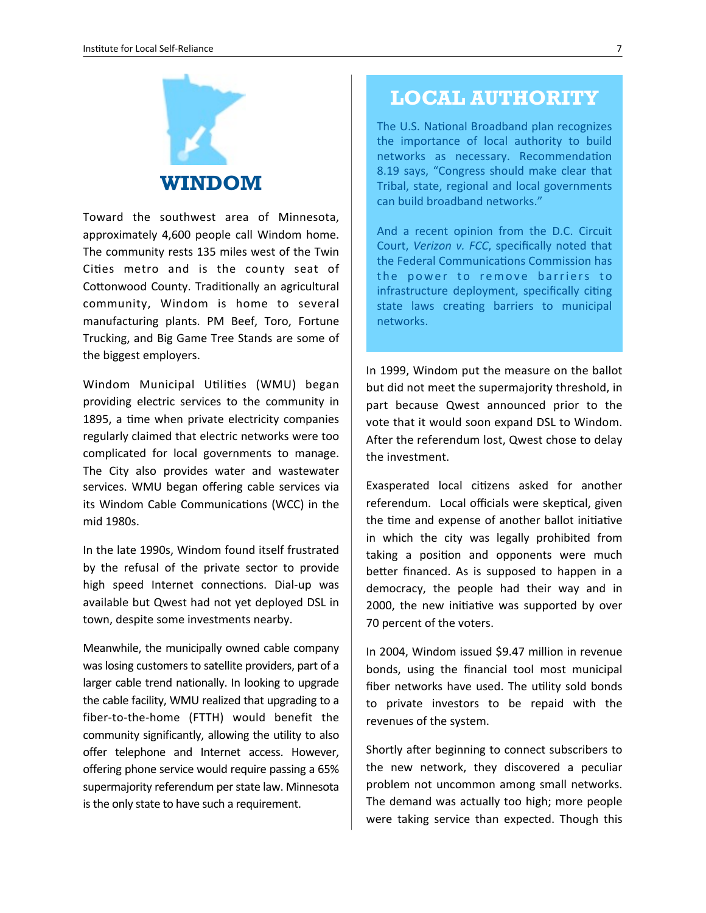

Toward the southwest area of Minnesota, approximately 4,600 people call Windom home. The community rests 135 miles west of the Twin Cities metro and is the county seat of Cottonwood County. Traditionally an agricultural community, Windom is home to several manufacturing plants. PM Beef, Toro, Fortune Trucking, and Big Game Tree Stands are some of the biggest employers.

Windom Municipal Utilities (WMU) began providing electric services to the community in 1895, a time when private electricity companies regularly claimed that electric networks were too complicated for local governments to manage. The City also provides water and wastewater services. WMU began offering cable services via its Windom Cable Communications (WCC) in the mid 1980s.

In the late 1990s, Windom found itself frustrated by the refusal of the private sector to provide high speed Internet connections. Dial-up was available but Qwest had not yet deployed DSL in town, despite some investments nearby.

Meanwhile, the municipally owned cable company was losing customers to satellite providers, part of a larger cable trend nationally. In looking to upgrade the cable facility, WMU realized that upgrading to a fiber-to-the-home (FTTH) would benefit the community significantly, allowing the utility to also offer telephone and Internet access. However, offering phone service would require passing a 65% supermajority referendum per state law. Minnesota is the only state to have such a requirement.

#### **LOCAL AUTHORITY**

The U.S. National Broadband plan recognizes the importance of local authority to build networks as necessary. Recommendation 8.19 says, "Congress should make clear that Tribal, state, regional and local governments can build broadband networks."

And a recent opinion from the D.C. Circuit Court, Verizon v. FCC, specifically noted that the Federal Communications Commission has the power to remove barriers to infrastructure deployment, specifically citing state laws creating barriers to municipal networks.

In 1999, Windom put the measure on the ballot but did not meet the supermajority threshold, in part because Qwest announced prior to the vote that it would soon expand DSL to Windom. After the referendum lost, Qwest chose to delay the investment.

Exasperated local citizens asked for another referendum. Local officials were skeptical, given the time and expense of another ballot initiative in which the city was legally prohibited from taking a position and opponents were much better financed. As is supposed to happen in a democracy, the people had their way and in 2000, the new initiative was supported by over 70 percent of the voters.

In 2004, Windom issued \$9.47 million in revenue bonds, using the financial tool most municipal fiber networks have used. The utility sold bonds to private investors to be repaid with the revenues of the system.

Shortly after beginning to connect subscribers to the new network, they discovered a peculiar problem not uncommon among small networks. The demand was actually too high; more people were taking service than expected. Though this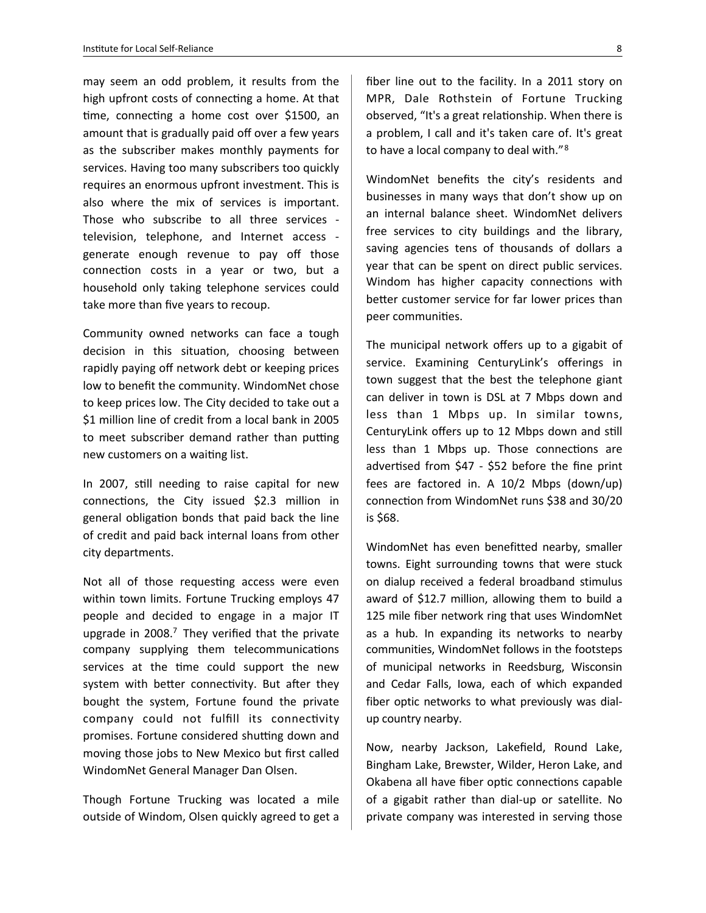may seem an odd problem, it results from the high upfront costs of connecting a home. At that time, connecting a home cost over  $$1500$ , an amount that is gradually paid off over a few years as the subscriber makes monthly payments for services. Having too many subscribers too quickly requires an enormous upfront investment. This is also where the mix of services is important. Those who subscribe to all three services television, telephone, and Internet access generate enough revenue to pay off those connection costs in a year or two, but a household only taking telephone services could take more than five years to recoup.

Community owned networks can face a tough decision in this situation, choosing between rapidly paying off network debt or keeping prices low to benefit the community. WindomNet chose to keep prices low. The City decided to take out a \$1 million line of credit from a local bank in 2005 to meet subscriber demand rather than putting new customers on a waiting list.

In 2007, still needing to raise capital for new connections, the City issued  $$2.3$  million in general obligation bonds that paid back the line of credit and paid back internal loans from other city departments.

Not all of those requesting access were even within town limits. Fortune Trucking employs 47 people and decided to engage in a major IT upgrade in  $2008$ .<sup>[7](#page-13-5)</sup> They verified that the private company supplying them telecommunications services at the time could support the new system with better connectivity. But after they bought the system, Fortune found the private company could not fulfill its connectivity promises. Fortune considered shutting down and moving those jobs to New Mexico but first called WindomNet General Manager Dan Olsen.

Though Fortune Trucking was located a mile outside of Windom, Olsen quickly agreed to get a fiber line out to the facility. In a 2011 story on MPR, Dale Rothstein of Fortune Trucking observed, "It's a great relationship. When there is a problem, I call and it's taken care of. It's great to have a local company to deal with."<sup>[8](#page-13-6)</sup>

WindomNet benefits the city's residents and businesses in many ways that don't show up on an internal balance sheet. WindomNet delivers free services to city buildings and the library, saving agencies tens of thousands of dollars a year that can be spent on direct public services. Windom has higher capacity connections with better customer service for far lower prices than peer communities.

The municipal network offers up to a gigabit of service. Examining CenturyLink's offerings in town suggest that the best the telephone giant can deliver in town is DSL at 7 Mbps down and less than 1 Mbps up. In similar towns, CenturyLink offers up to 12 Mbps down and still less than 1 Mbps up. Those connections are advertised from  $$47 - $52$  before the fine print fees are factored in. A  $10/2$  Mbps (down/up) connection from WindomNet runs \$38 and 30/20 is \$68.

WindomNet has even benefitted nearby, smaller towns. Eight surrounding towns that were stuck on dialup received a federal broadband stimulus award of \$12.7 million, allowing them to build a 125 mile fiber network ring that uses WindomNet as a hub. In expanding its networks to nearby communities, WindomNet follows in the footsteps of municipal networks in Reedsburg, Wisconsin and Cedar Falls, Iowa, each of which expanded fiber optic networks to what previously was dialup country nearby.

Now, nearby Jackson, Lakefield, Round Lake, Bingham Lake, Brewster, Wilder, Heron Lake, and Okabena all have fiber optic connections capable of a gigabit rather than dial-up or satellite. No private company was interested in serving those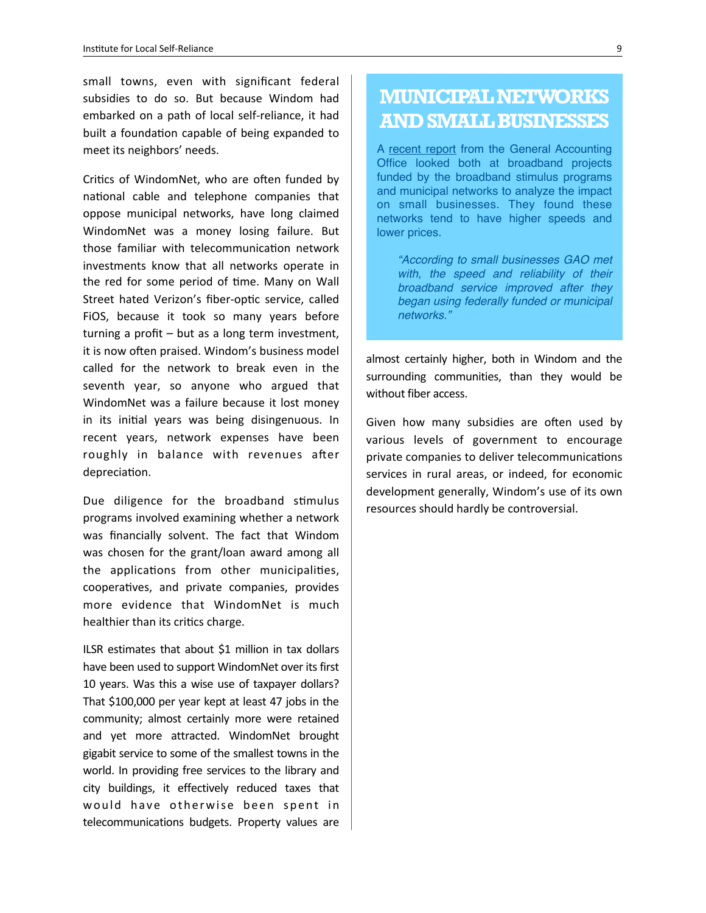small towns, even with significant federal subsidies to do so. But because Windom had embarked on a path of local self-reliance, it had built a foundation capable of being expanded to meet its neighbors' needs.

Critics of WindomNet, who are often funded by national cable and telephone companies that oppose municipal networks, have long claimed WindomNet was a money losing failure. But those familiar with telecommunication network investments know that all networks operate in the red for some period of time. Many on Wall Street hated Verizon's fiber-optic service, called FiOS, because it took so many years before turning a profit  $-$  but as a long term investment, it is now often praised. Windom's business model called for the network to break even in the seventh year, so anyone who argued that WindomNet was a failure because it lost money in its initial years was being disingenuous. In recent years, network expenses have been roughly in balance with revenues after depreciation.

Due diligence for the broadband stimulus programs involved examining whether a network was financially solvent. The fact that Windom was chosen for the grant/loan award among all the applications from other municipalities, cooperatives, and private companies, provides more evidence that WindomNet is much healthier than its critics charge.

ILSR estimates that about \$1 million in tax dollars have been used to support WindomNet over its first 10 years. Was this a wise use of taxpayer dollars? That \$100,000 per year kept at least 47 jobs in the community; almost certainly more were retained and yet more attracted. WindomNet brought gigabit service to some of the smallest towns in the world. In providing free services to the library and city buildings, it effectively reduced taxes that would have otherwise been spent in telecommunications budgets. Property values are

## **MUNICIPAL NETWORKS AND SMALL BUSINESSES**

A [recent report](http://www.gao.gov/products/GAO-14-203) from the General Accounting Office looked both at broadband projects funded by the broadband stimulus programs and municipal networks to analyze the impact on small businesses. They found these networks tend to have higher speeds and lower prices.

*"According to small businesses GAO met with, the speed and reliability of their broadband service improved after they began using federally funded or municipal networks."*

almost certainly higher, both in Windom and the surrounding communities, than they would be without fiber access.

Given how many subsidies are often used by various levels of government to encourage private companies to deliver telecommunications services in rural areas, or indeed, for economic development generally, Windom's use of its own resources should hardly be controversial.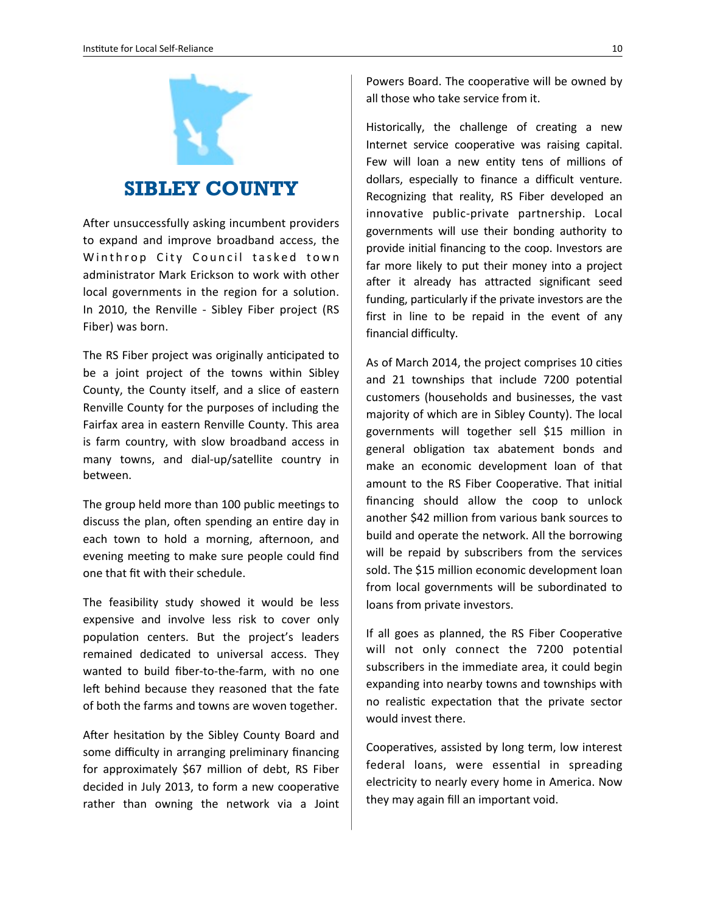

#### **SIBLEY COUNTY**

After unsuccessfully asking incumbent providers to expand and improve broadband access, the Winthrop City Council tasked town administrator Mark Erickson to work with other local governments in the region for a solution. In 2010, the Renville - Sibley Fiber project (RS Fiber) was born.

The RS Fiber project was originally anticipated to be a joint project of the towns within Sibley County, the County itself, and a slice of eastern Renville County for the purposes of including the Fairfax area in eastern Renville County. This area is farm country, with slow broadband access in many towns, and dial-up/satellite country in between. 

The group held more than 100 public meetings to discuss the plan, often spending an entire day in each town to hold a morning, afternoon, and evening meeting to make sure people could find one that fit with their schedule.

The feasibility study showed it would be less expensive and involve less risk to cover only population centers. But the project's leaders remained dedicated to universal access. They wanted to build fiber-to-the-farm, with no one left behind because they reasoned that the fate of both the farms and towns are woven together.

After hesitation by the Sibley County Board and some difficulty in arranging preliminary financing for approximately \$67 million of debt, RS Fiber decided in July 2013, to form a new cooperative rather than owning the network via a Joint Powers Board. The cooperative will be owned by all those who take service from it.

Historically, the challenge of creating a new Internet service cooperative was raising capital. Few will loan a new entity tens of millions of dollars, especially to finance a difficult venture. Recognizing that reality, RS Fiber developed an innovative public-private partnership. Local governments will use their bonding authority to provide initial financing to the coop. Investors are far more likely to put their money into a project after it already has attracted significant seed funding, particularly if the private investors are the first in line to be repaid in the event of any financial difficulty.

As of March 2014, the project comprises 10 cities and 21 townships that include 7200 potential customers (households and businesses, the vast majority of which are in Sibley County). The local governments will together sell \$15 million in general obligation tax abatement bonds and make an economic development loan of that amount to the RS Fiber Cooperative. That initial financing should allow the coop to unlock another \$42 million from various bank sources to build and operate the network. All the borrowing will be repaid by subscribers from the services sold. The \$15 million economic development loan from local governments will be subordinated to loans from private investors.

If all goes as planned, the RS Fiber Cooperative will not only connect the 7200 potential subscribers in the immediate area, it could begin expanding into nearby towns and townships with no realistic expectation that the private sector would invest there.

Cooperatives, assisted by long term, low interest federal loans, were essential in spreading electricity to nearly every home in America. Now they may again fill an important void.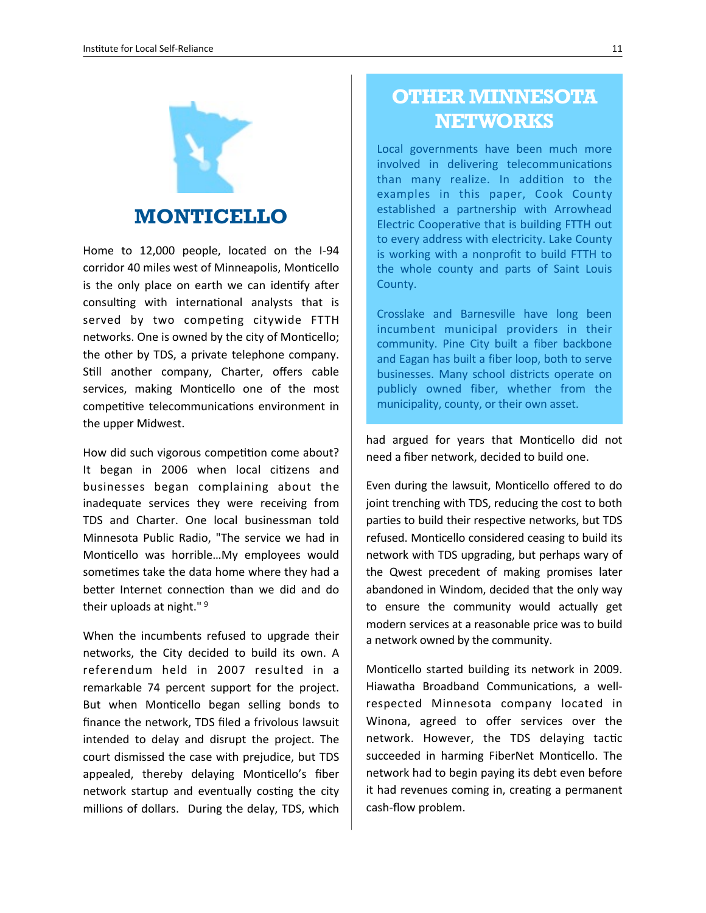

#### **MONTICELLO**

Home to 12,000 people, located on the I-94 corridor 40 miles west of Minneapolis, Monticello is the only place on earth we can identify after consulting with international analysts that is served by two competing citywide FTTH networks. One is owned by the city of Monticello; the other by TDS, a private telephone company. Still another company, Charter, offers cable services, making Monticello one of the most competitive telecommunications environment in the upper Midwest.

How did such vigorous competition come about? It began in 2006 when local citizens and businesses began complaining about the inadequate services they were receiving from TDS and Charter. One local businessman told Minnesota Public Radio, "The service we had in Monticello was horrible...My employees would sometimes take the data home where they had a better Internet connection than we did and do their uploads at night." $9$ 

When the incumbents refused to upgrade their networks, the City decided to build its own. A referendum held in 2007 resulted in a remarkable 74 percent support for the project. But when Monticello began selling bonds to finance the network, TDS filed a frivolous lawsuit intended to delay and disrupt the project. The court dismissed the case with prejudice, but TDS appealed, thereby delaying Monticello's fiber network startup and eventually costing the city millions of dollars. During the delay, TDS, which

## **OTHER MINNESOTA NETWORKS**

Local governments have been much more involved in delivering telecommunications than many realize. In addition to the examples in this paper, Cook County established a partnership with Arrowhead Electric Cooperative that is building FTTH out to every address with electricity. Lake County is working with a nonprofit to build FTTH to the whole county and parts of Saint Louis County.

Crosslake and Barnesville have long been incumbent municipal providers in their community. Pine City built a fiber backbone and Eagan has built a fiber loop, both to serve businesses. Many school districts operate on publicly owned fiber, whether from the municipality, county, or their own asset.

had argued for years that Monticello did not need a fiber network, decided to build one.

Even during the lawsuit, Monticello offered to do joint trenching with TDS, reducing the cost to both parties to build their respective networks, but TDS refused. Monticello considered ceasing to build its network with TDS upgrading, but perhaps wary of the Qwest precedent of making promises later abandoned in Windom, decided that the only way to ensure the community would actually get modern services at a reasonable price was to build a network owned by the community.

Monticello started building its network in 2009. Hiawatha Broadband Communications, a wellrespected Minnesota company located in Winona, agreed to offer services over the network. However, the TDS delaying tactic succeeded in harming FiberNet Monticello. The network had to begin paying its debt even before it had revenues coming in, creating a permanent cash-flow problem.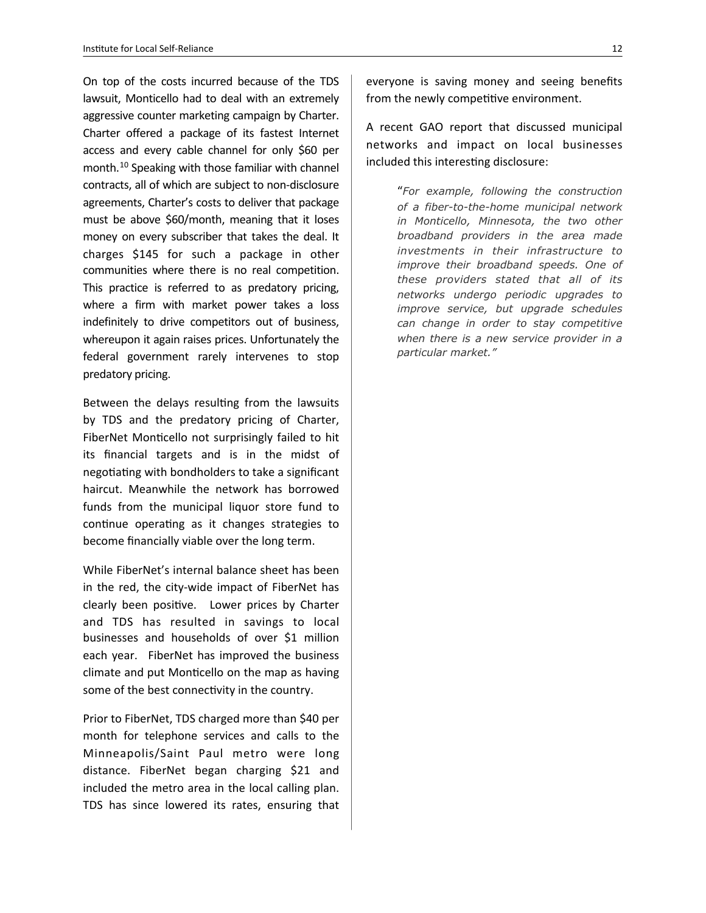On top of the costs incurred because of the TDS lawsuit, Monticello had to deal with an extremely aggressive counter marketing campaign by Charter. Charter offered a package of its fastest Internet access and every cable channel for only \$60 per month.<sup>[10](#page-13-8)</sup> Speaking with those familiar with channel contracts, all of which are subject to non-disclosure agreements, Charter's costs to deliver that package must be above \$60/month, meaning that it loses money on every subscriber that takes the deal. It charges \$145 for such a package in other communities where there is no real competition. This practice is referred to as predatory pricing, where a firm with market power takes a loss indefinitely to drive competitors out of business, whereupon it again raises prices. Unfortunately the federal government rarely intervenes to stop predatory pricing.

Between the delays resulting from the lawsuits by TDS and the predatory pricing of Charter, FiberNet Monticello not surprisingly failed to hit its financial targets and is in the midst of negotiating with bondholders to take a significant haircut. Meanwhile the network has borrowed funds from the municipal liquor store fund to continue operating as it changes strategies to become financially viable over the long term.

While FiberNet's internal balance sheet has been in the red, the city-wide impact of FiberNet has clearly been positive. Lower prices by Charter and TDS has resulted in savings to local businesses and households of over \$1 million each year. FiberNet has improved the business climate and put Monticello on the map as having some of the best connectivity in the country.

Prior to FiberNet, TDS charged more than \$40 per month for telephone services and calls to the Minneapolis/Saint Paul metro were long distance. FiberNet began charging \$21 and included the metro area in the local calling plan. TDS has since lowered its rates, ensuring that

everyone is saving money and seeing benefits from the newly competitive environment.

A recent GAO report that discussed municipal networks and impact on local businesses included this interesting disclosure:

> "*For example, following the construction of a fiber-to-the-home municipal network in Monticello, Minnesota, the two other broadband providers in the area made investments in their infrastructure to improve their broadband speeds. One of these providers stated that all of its networks undergo periodic upgrades to improve service, but upgrade schedules can change in order to stay competitive when there is a new service provider in a particular market."*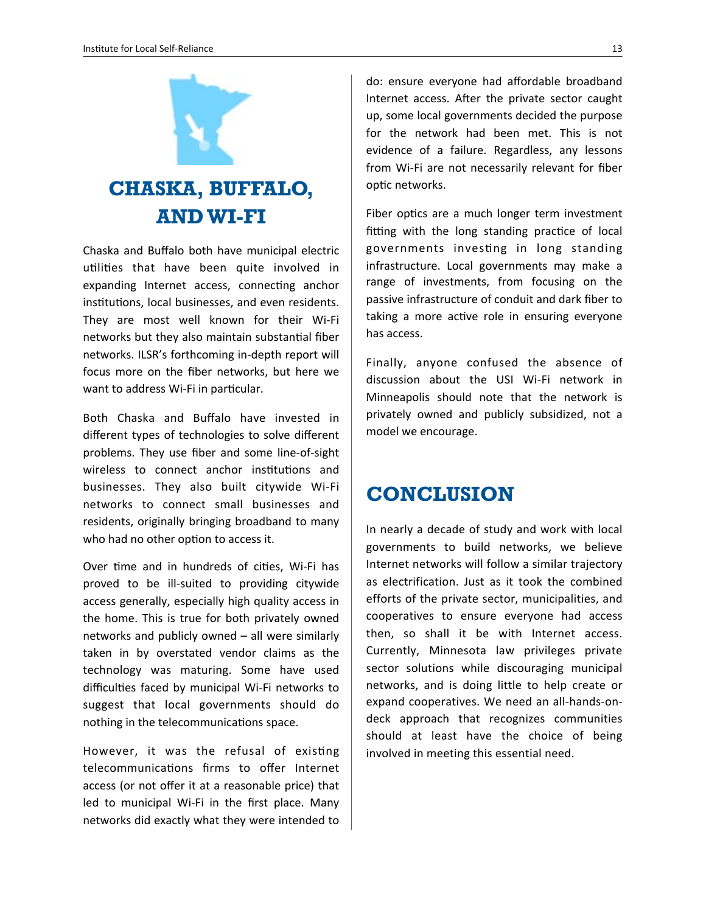

# **CHASKA, BUFFALO, AND WI-FI**

Chaska and Buffalo both have municipal electric utilities that have been quite involved in expanding Internet access, connecting anchor institutions, local businesses, and even residents. They are most well known for their Wi-Fi networks but they also maintain substantial fiber networks. ILSR's forthcoming in-depth report will focus more on the fiber networks, but here we want to address Wi-Fi in particular.

Both Chaska and Buffalo have invested in different types of technologies to solve different problems. They use fiber and some line-of-sight wireless to connect anchor institutions and businesses. They also built citywide Wi-Fi networks to connect small businesses and residents, originally bringing broadband to many who had no other option to access it.

Over time and in hundreds of cities, Wi-Fi has proved to be ill-suited to providing citywide access generally, especially high quality access in the home. This is true for both privately owned networks and publicly owned  $-$  all were similarly taken in by overstated vendor claims as the technology was maturing. Some have used difficulties faced by municipal Wi-Fi networks to suggest that local governments should do nothing in the telecommunications space.

However, it was the refusal of existing telecommunications firms to offer Internet access (or not offer it at a reasonable price) that led to municipal Wi-Fi in the first place. Many networks did exactly what they were intended to

do: ensure everyone had affordable broadband Internet access. After the private sector caught up, some local governments decided the purpose for the network had been met. This is not evidence of a failure. Regardless, any lessons from Wi-Fi are not necessarily relevant for fiber optic networks.

Fiber optics are a much longer term investment fitting with the long standing practice of local governments investing in long standing infrastructure. Local governments may make a range of investments, from focusing on the passive infrastructure of conduit and dark fiber to taking a more active role in ensuring everyone has access.

Finally, anyone confused the absence of discussion about the USI Wi-Fi network in Minneapolis should note that the network is privately owned and publicly subsidized, not a model we encourage.

# **CONCLUSION**

In nearly a decade of study and work with local governments to build networks, we believe Internet networks will follow a similar trajectory as electrification. Just as it took the combined efforts of the private sector, municipalities, and cooperatives to ensure everyone had access then, so shall it be with Internet access. Currently, Minnesota law privileges private sector solutions while discouraging municipal networks, and is doing little to help create or expand cooperatives. We need an all-hands-ondeck approach that recognizes communities should at least have the choice of being involved in meeting this essential need.